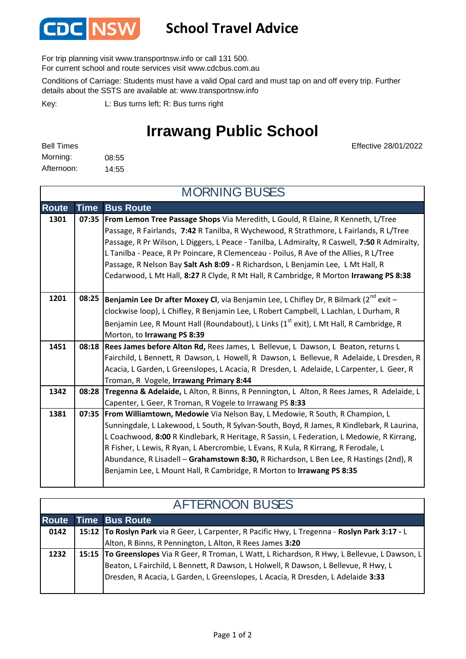

## **School Travel Advice**

For trip planning visit www.transportnsw.info or call 131 500.

For current school and route services visit www.cdcbus.com.au

Conditions of Carriage: Students must have a valid Opal card and must tap on and off every trip. Further details about the SSTS are available at: www.transportnsw.info

L: Bus turns left; R: Bus turns right Key:

## **Irrawang Public School**

MORNING BUSES

Effective 28/01/2022

| <b>Bell Times</b> |       |
|-------------------|-------|
| Morning:          | 08:55 |
| Afternoon:        | 14:55 |

**Route Time Bus Route 1301 07:35 From Lemon Tree Passage Shops** Via Meredith, L Gould, R Elaine, R Kenneth, L/Tree Passage, R Fairlands, **7:42** R Tanilba, R Wychewood, R Strathmore, L Fairlands, R L/Tree Passage, R Pr Wilson, L Diggers, L Peace - Tanilba, L Admiralty, R Caswell, **7:50** R Admiralty, L Tanilba - Peace, R Pr Poincare, R Clemenceau - Poilus, R Ave of the Allies, R L/Tree Passage, R Nelson Bay **Salt Ash 8:09 -** R Richardson, L Benjamin Lee, L Mt Hall, R Cedarwood, L Mt Hall, **8:27** R Clyde, R Mt Hall, R Cambridge, R Morton **Irrawang PS 8:38** 1201 **| 08:25 | Benjamin Lee Dr after Moxey CI**, via Benjamin Lee, L Chifley Dr, R Bilmark (2<sup>nd</sup> exit – clockwise loop), L Chifley, R Benjamin Lee, L Robert Campbell, L Lachlan, L Durham, R Benjamin Lee, R Mount Hall (Roundabout), L Links ( $1<sup>st</sup>$  exit), L Mt Hall, R Cambridge, R Morton, to **Irrawang PS 8:39 1451 08:18 Rees James before Alton Rd,** Rees James, L Bellevue, L Dawson, L Beaton, returns L Fairchild, L Bennett, R Dawson, L Howell, R Dawson, L Bellevue, R Adelaide, L Dresden, R Acacia, L Garden, L Greenslopes, L Acacia, R Dresden, L Adelaide, L Carpenter, L Geer, R Troman, R Vogele, **Irrawang Primary 8:44 1342 08:28 Tregenna & Adelaide,** L Alton, R Binns, R Pennington, L Alton, R Rees James, R Adelaide, L Capenter, L Geer, R Troman, R Vogele to Irrawang PS **8:33 1381 07:35 From Williamtown, Medowie** Via Nelson Bay, L Medowie, R South, R Champion, L Sunningdale, L Lakewood, L South, R Sylvan-South, Boyd, R James, R Kindlebark, R Laurina, L Coachwood, **8:00** R Kindlebark, R Heritage, R Sassin, L Federation, L Medowie, R Kirrang, R Fisher, L Lewis, R Ryan, L Abercrombie, L Evans, R Kula, R Kirrang, R Ferodale, L Abundance, R Lisadell – **Grahamstown 8:30,** R Richardson, L Ben Lee, R Hastings (2nd), R

## AFTERNOON BUSES

Benjamin Lee, L Mount Hall, R Cambridge, R Morton to **Irrawang PS 8:35**

| Route |  | Time Bus Route                                                                                    |  |  |
|-------|--|---------------------------------------------------------------------------------------------------|--|--|
| 0142  |  | 15:12   To Roslyn Park via R Geer, L Carpenter, R Pacific Hwy, L Tregenna - Roslyn Park 3:17 - L  |  |  |
|       |  | Alton, R Binns, R Pennington, L Alton, R Rees James 3:20                                          |  |  |
| 1232  |  | 15:15   To Greenslopes Via R Geer, R Troman, L Watt, L Richardson, R Hwy, L Bellevue, L Dawson, L |  |  |
|       |  | Beaton, L Fairchild, L Bennett, R Dawson, L Holwell, R Dawson, L Bellevue, R Hwy, L               |  |  |
|       |  | Dresden, R Acacia, L Garden, L Greenslopes, L Acacia, R Dresden, L Adelaide 3:33                  |  |  |
|       |  |                                                                                                   |  |  |